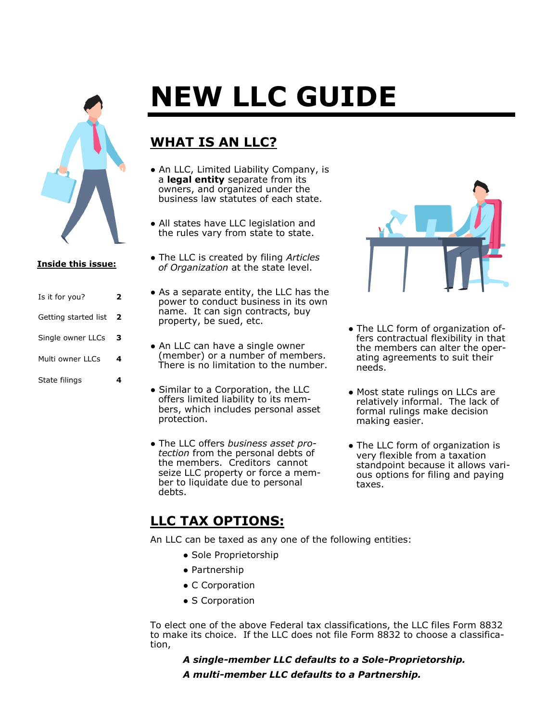

#### **Inside this issue:**

| Is it for you?       | 2 |
|----------------------|---|
| Getting started list | 2 |
| Single owner LLCs    | з |
| Multi owner LLCs     | 4 |
| State filings        |   |

# **NEW LLC GUIDE**

# **WHAT IS AN LLC?**

- An LLC, Limited Liability Company, is a **legal entity** separate from its owners, and organized under the business law statutes of each state.
- All states have LLC legislation and the rules vary from state to state.
- The LLC is created by filing *Articles of Organization* at the state level.
- As a separate entity, the LLC has the power to conduct business in its own name. It can sign contracts, buy property, be sued, etc.
- An LLC can have a single owner (member) or a number of members. There is no limitation to the number.
- Similar to a Corporation, the LLC offers limited liability to its members, which includes personal asset protection.
- The LLC offers *business asset protection* from the personal debts of the members. Creditors cannot seize LLC property or force a member to liquidate due to personal debts.



- The LLC form of organization offers contractual flexibility in that the members can alter the operating agreements to suit their needs.
- Most state rulings on LLCs are relatively informal. The lack of formal rulings make decision making easier.
- The LLC form of organization is very flexible from a taxation standpoint because it allows various options for filing and paying taxes.

# **LLC TAX OPTIONS:**

An LLC can be taxed as any one of the following entities:

- Sole Proprietorship
- Partnership
- C Corporation
- S Corporation

To elect one of the above Federal tax classifications, the LLC files Form 8832 to make its choice. If the LLC does not file Form 8832 to choose a classification,

*A single-member LLC defaults to a Sole-Proprietorship. A multi-member LLC defaults to a Partnership.*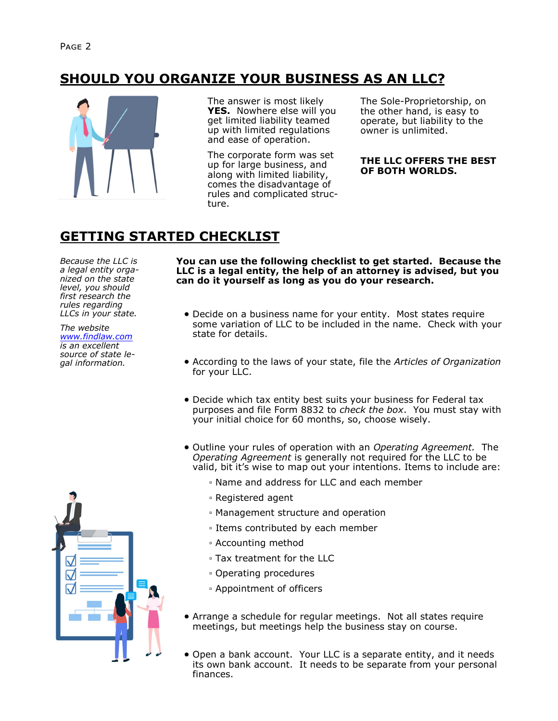# **SHOULD YOU ORGANIZE YOUR BUSINESS AS AN LLC?**



The answer is most likely **YES.** Nowhere else will you get limited liability teamed up with limited regulations and ease of operation.

The corporate form was set up for large business, and along with limited liability, comes the disadvantage of rules and complicated structure.

The Sole-Proprietorship, on the other hand, is easy to operate, but liability to the owner is unlimited.

#### **THE LLC OFFERS THE BEST OF BOTH WORLDS.**

# **GETTING STARTED CHECKLIST**

*Because the LLC is a legal entity organized on the state level, you should first research the rules regarding LLCs in your state.* 

*The website [www.findlaw.com](http://www.findlaw.com/) is an excellent source of state legal information.*



**You can use the following checklist to get started. Because the LLC is a legal entity, the help of an attorney is advised, but you can do it yourself as long as you do your research.**

- Decide on a business name for your entity. Most states require some variation of LLC to be included in the name. Check with your state for details.
- According to the laws of your state, file the *Articles of Organization* for your LLC.
- Decide which tax entity best suits your business for Federal tax purposes and file Form 8832 to *check the box*. You must stay with your initial choice for 60 months, so, choose wisely.
- Outline your rules of operation with an *Operating Agreement.* The *Operating Agreement* is generally not required for the LLC to be valid, bit it's wise to map out your intentions. Items to include are:
	- Name and address for LLC and each member
	- Registered agent
	- Management structure and operation
	- Items contributed by each member
	- Accounting method
	- Tax treatment for the LLC
	- Operating procedures
	- Appointment of officers
- Arrange a schedule for regular meetings. Not all states require meetings, but meetings help the business stay on course.
- Open a bank account. Your LLC is a separate entity, and it needs its own bank account. It needs to be separate from your personal finances.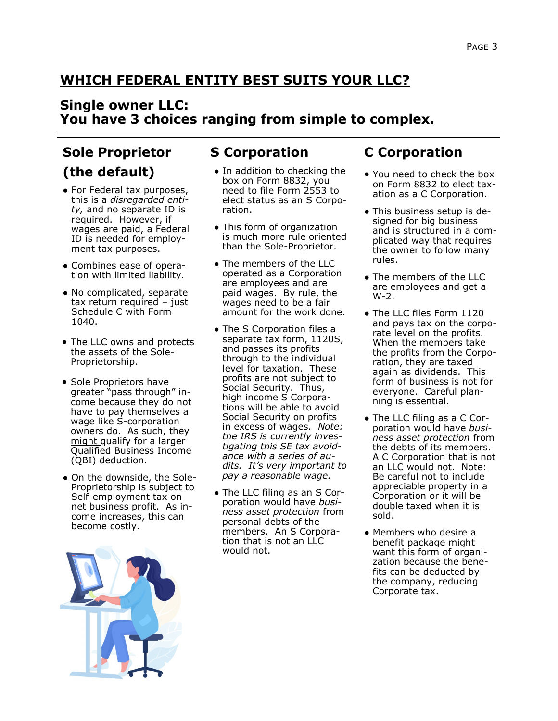# **WHICH FEDERAL ENTITY BEST SUITS YOUR LLC?**

#### **Single owner LLC: You have 3 choices ranging from simple to complex.**

# **Sole Proprietor**

# **(the default)**

- For Federal tax purposes, this is a *disregarded entity,* and no separate ID is required. However, if wages are paid, a Federal ID is needed for employment tax purposes.
- Combines ease of operation with limited liability.
- No complicated, separate tax return required – just Schedule C with Form 1040.
- The LLC owns and protects the assets of the Sole-Proprietorship.
- Sole Proprietors have greater "pass through" income because they do not have to pay themselves a wage like S-corporation owners do. As such, they might qualify for a larger Qualified Business Income (QBI) deduction.
- On the downside, the Sole-Proprietorship is subject to Self-employment tax on net business profit. As income increases, this can become costly.



# **S Corporation**

- In addition to checking the box on Form 8832, you need to file Form 2553 to elect status as an S Corporation.
- This form of organization is much more rule oriented than the Sole-Proprietor.
- The members of the LLC operated as a Corporation are employees and are paid wages. By rule, the wages need to be a fair amount for the work done.
- The S Corporation files a separate tax form, 1120S, and passes its profits through to the individual level for taxation. These profits are not subject to Social Security. Thus, high income S Corporations will be able to avoid Social Security on profits in excess of wages. *Note: the IRS is currently investigating this SE tax avoidance with a series of audits. It's very important to pay a reasonable wage.*
- The LLC filing as an S Corporation would have *business asset protection* from personal debts of the members. An S Corporation that is not an LLC would not.

# **C Corporation**

- You need to check the box on Form 8832 to elect taxation as a C Corporation.
- This business setup is designed for big business and is structured in a complicated way that requires the owner to follow many rules.
- The members of the LLC are employees and get a W-2.
- The LLC files Form 1120 and pays tax on the corporate level on the profits. When the members take the profits from the Corporation, they are taxed again as dividends. This form of business is not for everyone. Careful planning is essential.
- The LLC filing as a C Corporation would have *business asset protection* from the debts of its members. A C Corporation that is not an LLC would not. Note: Be careful not to include appreciable property in a Corporation or it will be double taxed when it is sold.
- Members who desire a benefit package might want this form of organization because the benefits can be deducted by the company, reducing Corporate tax.